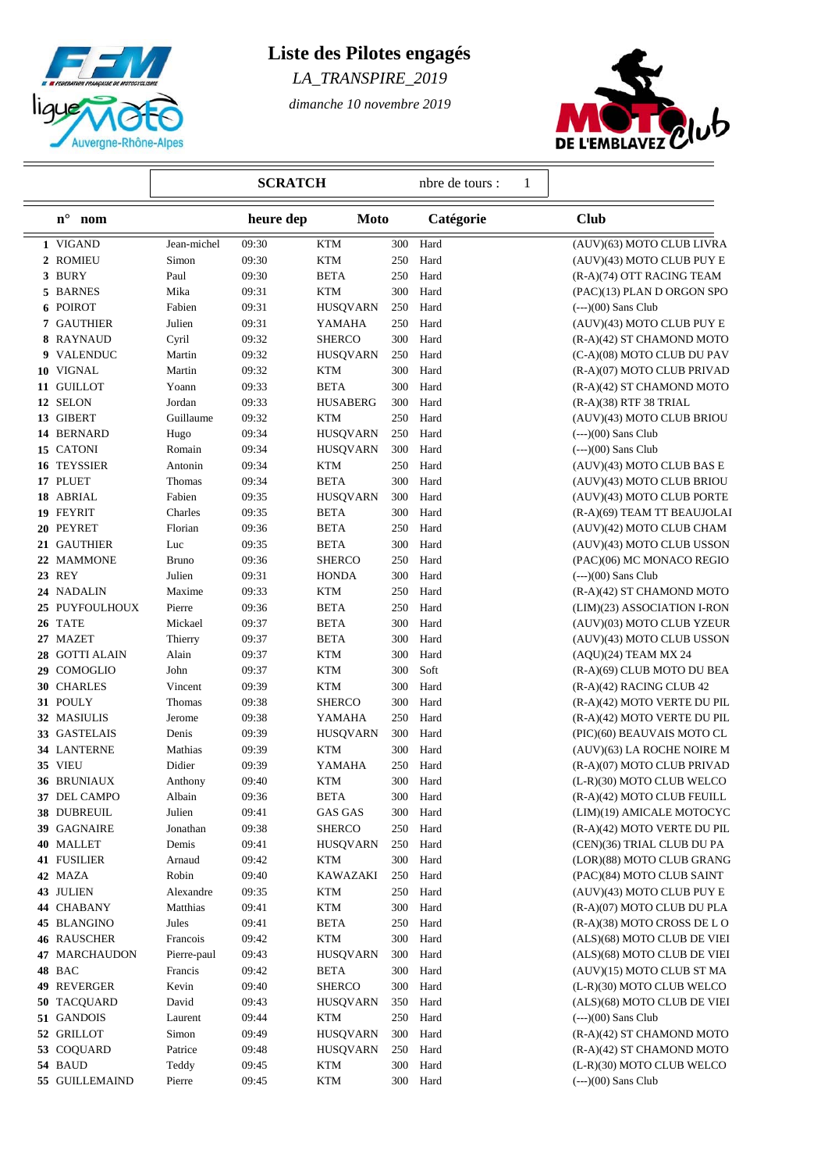

# **Liste des Pilotes engagés**

*LA\_TRANSPIRE\_2019*

*dimanche 10 novembre 2019*



|                           | <b>SCRATCH</b> |           |                         |     | nbre de tours :<br>1 |                              |
|---------------------------|----------------|-----------|-------------------------|-----|----------------------|------------------------------|
| $\mathbf{n}^\circ$<br>nom |                | heure dep | <b>Moto</b>             |     | Catégorie            | <b>Club</b>                  |
| 1 VIGAND                  | Jean-michel    | 09:30     | <b>KTM</b>              | 300 | Hard                 | (AUV)(63) MOTO CLUB LIVRA    |
| 2 ROMIEU                  | Simon          | 09:30     | <b>KTM</b>              | 250 | Hard                 | (AUV)(43) MOTO CLUB PUY E    |
| 3 BURY                    | Paul           | 09:30     | <b>BETA</b>             | 250 | Hard                 | (R-A)(74) OTT RACING TEAM    |
| 5 BARNES                  | Mika           | 09:31     | <b>KTM</b>              | 300 | Hard                 | (PAC)(13) PLAN D ORGON SPO   |
| 6 POIROT                  | Fabien         | 09:31     | <b>HUSQVARN</b>         | 250 | Hard                 | $(--)(00)$ Sans Club         |
| 7 GAUTHIER                | Julien         | 09:31     | YAMAHA                  | 250 | Hard                 | (AUV)(43) MOTO CLUB PUY E    |
| 8 RAYNAUD                 | Cyril          | 09:32     | <b>SHERCO</b>           | 300 | Hard                 | (R-A)(42) ST CHAMOND MOTO    |
| 9 VALENDUC                | Martin         | 09:32     | <b>HUSQVARN</b>         | 250 | Hard                 | (C-A)(08) MOTO CLUB DU PAV   |
| 10 VIGNAL                 | Martin         | 09:32     | <b>KTM</b>              | 300 | Hard                 | (R-A)(07) MOTO CLUB PRIVAD   |
| 11 GUILLOT                | Yoann          | 09:33     | <b>BETA</b>             | 300 | Hard                 | (R-A)(42) ST CHAMOND MOTO    |
| 12 SELON                  | Jordan         | 09:33     | <b>HUSABERG</b>         | 300 | Hard                 | (R-A)(38) RTF 38 TRIAL       |
| 13 GIBERT                 | Guillaume      | 09:32     | KTM                     | 250 | Hard                 | (AUV)(43) MOTO CLUB BRIOU    |
| 14 BERNARD                | Hugo           | 09:34     | <b>HUSQVARN</b>         | 250 | Hard                 | $(--)(00)$ Sans Club         |
| 15 CATONI                 | Romain         | 09:34     | <b>HUSQVARN</b>         | 300 | Hard                 | $(--)(00)$ Sans Club         |
| 16 TEYSSIER               | Antonin        | 09:34     | <b>KTM</b>              | 250 | Hard                 | (AUV)(43) MOTO CLUB BAS E    |
| 17 PLUET                  | Thomas         | 09:34     | <b>BETA</b>             | 300 | Hard                 | (AUV)(43) MOTO CLUB BRIOU    |
| 18 ABRIAL                 | Fabien         | 09:35     | <b>HUSQVARN</b>         | 300 | Hard                 | (AUV)(43) MOTO CLUB PORTE    |
| 19 FEYRIT                 | Charles        | 09:35     | <b>BETA</b>             | 300 | Hard                 | (R-A)(69) TEAM TT BEAUJOLAI  |
| 20 PEYRET                 | Florian        | 09:36     | <b>BETA</b>             | 250 | Hard                 | (AUV)(42) MOTO CLUB CHAM     |
| 21 GAUTHIER               | Luc            | 09:35     | <b>BETA</b>             | 300 | Hard                 | (AUV)(43) MOTO CLUB USSON    |
| 22 MAMMONE                | <b>Bruno</b>   | 09:36     | <b>SHERCO</b>           | 250 | Hard                 | (PAC)(06) MC MONACO REGIO    |
| <b>23 REY</b>             | Julien         | 09:31     | <b>HONDA</b>            | 300 | Hard                 | $(--)(00)$ Sans Club         |
| 24 NADALIN                | Maxime         | 09:33     | <b>KTM</b>              | 250 | Hard                 | (R-A)(42) ST CHAMOND MOTO    |
| 25 PUYFOULHOUX            | Pierre         | 09:36     | <b>BETA</b>             | 250 | Hard                 | (LIM)(23) ASSOCIATION I-RON  |
| 26 TATE                   | Mickael        | 09:37     | <b>BETA</b>             | 300 | Hard                 | (AUV)(03) MOTO CLUB YZEUR    |
| 27 MAZET                  | Thierry        | 09:37     | <b>BETA</b>             | 300 | Hard                 | (AUV)(43) MOTO CLUB USSON    |
| 28 GOTTI ALAIN            | Alain          | 09:37     | <b>KTM</b>              | 300 | Hard                 | (AQU)(24) TEAM MX 24         |
| 29 COMOGLIO               | John           | 09:37     | <b>KTM</b>              | 300 | Soft                 | (R-A)(69) CLUB MOTO DU BEA   |
| 30 CHARLES                | Vincent        | 09:39     | <b>KTM</b>              | 300 | Hard                 | (R-A)(42) RACING CLUB 42     |
| 31 POULY                  | Thomas         | 09:38     | <b>SHERCO</b>           | 300 | Hard                 | (R-A)(42) MOTO VERTE DU PIL  |
| 32 MASIULIS               | Jerome         | 09:38     | YAMAHA                  | 250 | Hard                 | (R-A)(42) MOTO VERTE DU PIL  |
| 33 GASTELAIS              | Denis          | 09:39     | <b>HUSQVARN</b>         | 300 | Hard                 | (PIC)(60) BEAUVAIS MOTO CL   |
| 34 LANTERNE               | Mathias        | 09:39     | $\mathop{\mathrm{KTM}}$ | 300 | Hard                 | (AUV)(63) LA ROCHE NOIRE M   |
| 35 VIEU                   | Didier         | 09:39     | YAMAHA                  | 250 | Hard                 | (R-A)(07) MOTO CLUB PRIVAD   |
| <b>36 BRUNIAUX</b>        | Anthony        | 09:40     | KTM                     | 300 | Hard                 | (L-R)(30) MOTO CLUB WELCO    |
| 37 DEL CAMPO              | Albain         | 09:36     | <b>BETA</b>             | 300 | Hard                 | (R-A)(42) MOTO CLUB FEUILL   |
| 38 DUBREUIL               | Julien         | 09:41     | <b>GAS GAS</b>          | 300 | Hard                 | (LIM)(19) AMICALE MOTOCYC    |
| 39 GAGNAIRE               | Jonathan       | 09:38     | <b>SHERCO</b>           | 250 | Hard                 | (R-A)(42) MOTO VERTE DU PIL  |
| 40 MALLET                 | Demis          | 09:41     | HUSQVARN                | 250 | Hard                 | (CEN)(36) TRIAL CLUB DU PA   |
| 41 FUSILIER               | Arnaud         | 09:42     | KTM                     | 300 | Hard                 | (LOR)(88) MOTO CLUB GRANG    |
| 42 MAZA                   | Robin          | 09:40     | KAWAZAKI                | 250 | Hard                 | (PAC)(84) MOTO CLUB SAINT    |
| 43 JULIEN                 | Alexandre      | 09:35     | <b>KTM</b>              | 250 | Hard                 | (AUV)(43) MOTO CLUB PUY E    |
| 44 CHABANY                | Matthias       | 09:41     | <b>KTM</b>              | 300 | Hard                 | (R-A)(07) MOTO CLUB DU PLA   |
| <b>45 BLANGINO</b>        | Jules          | 09:41     | <b>BETA</b>             | 250 | Hard                 | $(R-A)(38)$ MOTO CROSS DE LO |
| <b>46 RAUSCHER</b>        | Francois       | 09:42     | KTM                     | 300 | Hard                 | (ALS)(68) MOTO CLUB DE VIEI  |
| <b>47 MARCHAUDON</b>      | Pierre-paul    | 09:43     | <b>HUSQVARN</b>         | 300 | Hard                 | (ALS)(68) MOTO CLUB DE VIEI  |
| 48 BAC                    | Francis        | 09:42     | BETA                    | 300 | Hard                 | (AUV)(15) MOTO CLUB ST MA    |
| 49 REVERGER               | Kevin          | 09:40     | <b>SHERCO</b>           | 300 | Hard                 | (L-R)(30) MOTO CLUB WELCO    |
| 50 TACQUARD               | David          | 09:43     | <b>HUSQVARN</b>         | 350 | Hard                 | (ALS)(68) MOTO CLUB DE VIEI  |
| 51 GANDOIS                | Laurent        | 09:44     | KTM                     | 250 | Hard                 | $(--)(00)$ Sans Club         |
| 52 GRILLOT                | Simon          | 09:49     | <b>HUSQVARN</b>         | 300 | Hard                 | (R-A)(42) ST CHAMOND MOTO    |
| 53 COQUARD                | Patrice        | 09:48     | <b>HUSQVARN</b>         | 250 | Hard                 | (R-A)(42) ST CHAMOND MOTO    |
| 54 BAUD                   | Teddy          | 09:45     | <b>KTM</b>              | 300 | Hard                 | (L-R)(30) MOTO CLUB WELCO    |
| 55 GUILLEMAIND            | Pierre         | 09:45     | <b>KTM</b>              | 300 | Hard                 | $(--)(00)$ Sans Club         |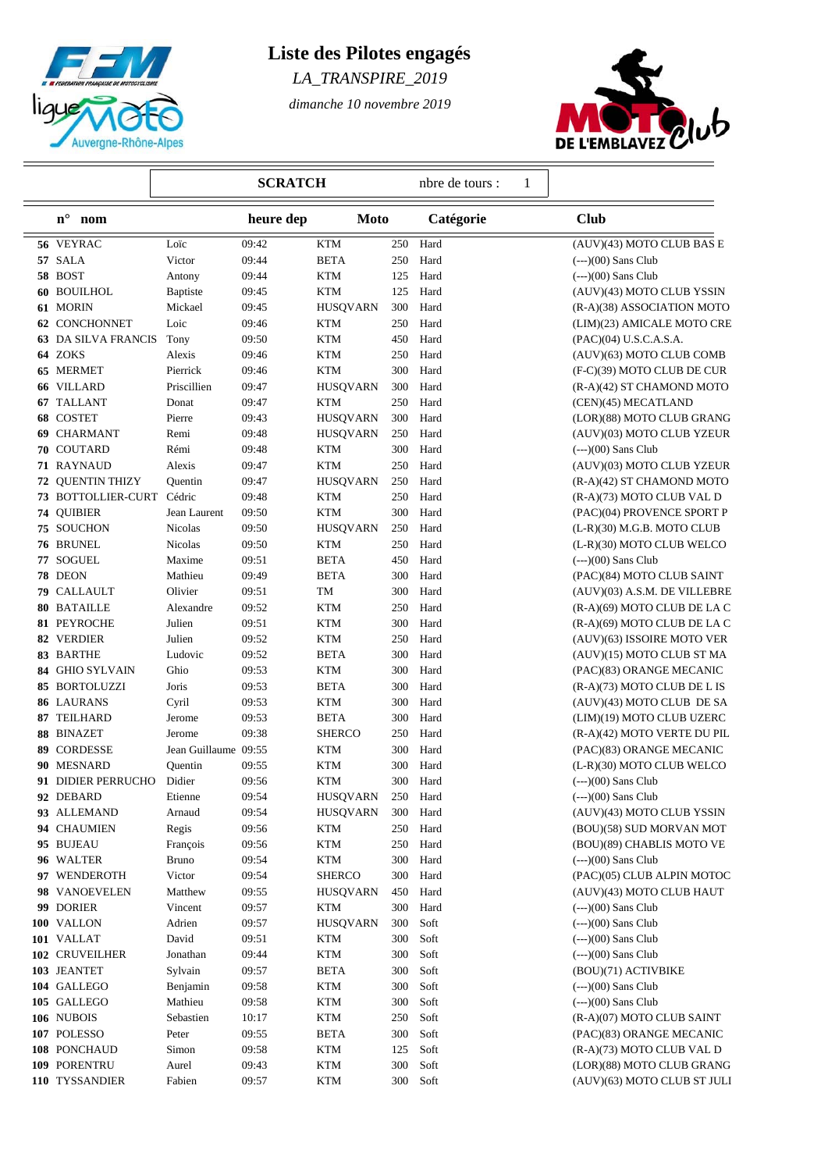

# **Liste des Pilotes engagés**

*LA\_TRANSPIRE\_2019*

*dimanche 10 novembre 2019*



|                            | <b>SCRATCH</b>       |           |                 |     | 1<br>nbre de tours : |                              |
|----------------------------|----------------------|-----------|-----------------|-----|----------------------|------------------------------|
| $\mathbf{n}^\circ$<br>nom  |                      | heure dep | Moto            |     | Catégorie            | <b>Club</b>                  |
| 56 VEYRAC                  | Loïc                 | 09:42     | <b>KTM</b>      | 250 | Hard                 | (AUV)(43) MOTO CLUB BAS E    |
| 57 SALA                    | Victor               | 09:44     | <b>BETA</b>     | 250 | Hard                 | $(--)(00)$ Sans Club         |
| 58 BOST                    | Antony               | 09:44     | <b>KTM</b>      | 125 | Hard                 | $(--)(00)$ Sans Club         |
| 60 BOUILHOL                | Baptiste             | 09:45     | <b>KTM</b>      | 125 | Hard                 | (AUV)(43) MOTO CLUB YSSIN    |
| 61 MORIN                   | Mickael              | 09:45     | <b>HUSQVARN</b> | 300 | Hard                 | (R-A)(38) ASSOCIATION MOTO   |
| <b>62 CONCHONNET</b>       | Loic                 | 09:46     | <b>KTM</b>      | 250 | Hard                 | (LIM)(23) AMICALE MOTO CRE   |
| <b>63 DA SILVA FRANCIS</b> | Tony                 | 09:50     | <b>KTM</b>      | 450 | Hard                 | (PAC)(04) U.S.C.A.S.A.       |
| 64 ZOKS                    | Alexis               | 09:46     | <b>KTM</b>      | 250 | Hard                 | (AUV)(63) MOTO CLUB COMB     |
| 65 MERMET                  | Pierrick             | 09:46     | <b>KTM</b>      | 300 | Hard                 | (F-C)(39) MOTO CLUB DE CUR   |
| 66 VILLARD                 | Priscillien          | 09:47     | <b>HUSQVARN</b> | 300 | Hard                 | (R-A)(42) ST CHAMOND MOTO    |
| 67 TALLANT                 | Donat                | 09:47     | <b>KTM</b>      | 250 | Hard                 | (CEN)(45) MECATLAND          |
| 68 COSTET                  | Pierre               | 09:43     | <b>HUSQVARN</b> | 300 | Hard                 | (LOR)(88) MOTO CLUB GRANG    |
| 69 CHARMANT                | Remi                 | 09:48     | <b>HUSQVARN</b> | 250 | Hard                 | (AUV)(03) MOTO CLUB YZEUR    |
| 70 COUTARD                 | Rémi                 | 09:48     | <b>KTM</b>      | 300 | Hard                 | $(--)(00)$ Sans Club         |
| 71 RAYNAUD                 | Alexis               | 09:47     | <b>KTM</b>      | 250 | Hard                 | (AUV)(03) MOTO CLUB YZEUR    |
| 72 QUENTIN THIZY           | Quentin              | 09:47     | <b>HUSQVARN</b> | 250 | Hard                 | (R-A)(42) ST CHAMOND MOTO    |
| 73 BOTTOLLIER-CURT         | Cédric               | 09:48     | <b>KTM</b>      | 250 | Hard                 | (R-A)(73) MOTO CLUB VAL D    |
| 74 QUIBIER                 | Jean Laurent         | 09:50     | <b>KTM</b>      | 300 | Hard                 | (PAC)(04) PROVENCE SPORT P   |
| 75 SOUCHON                 | Nicolas              | 09:50     | <b>HUSQVARN</b> | 250 | Hard                 | $(L-R)(30)$ M.G.B. MOTO CLUB |
| <b>76 BRUNEL</b>           | Nicolas              | 09:50     | <b>KTM</b>      | 250 | Hard                 | (L-R)(30) MOTO CLUB WELCO    |
| 77 SOGUEL                  | Maxime               | 09:51     | <b>BETA</b>     | 450 | Hard                 | $(--)(00)$ Sans Club         |
| 78 DEON                    | Mathieu              | 09:49     | <b>BETA</b>     | 300 | Hard                 | (PAC)(84) MOTO CLUB SAINT    |
| 79 CALLAULT                | Olivier              | 09:51     | TM              | 300 | Hard                 | (AUV)(03) A.S.M. DE VILLEBRE |
| 80 BATAILLE                | Alexandre            | 09:52     | <b>KTM</b>      | 250 | Hard                 | (R-A)(69) MOTO CLUB DE LA C  |
| 81 PEYROCHE                | Julien               | 09:51     | <b>KTM</b>      | 300 | Hard                 | (R-A)(69) MOTO CLUB DE LA C  |
| 82 VERDIER                 | Julien               | 09:52     | <b>KTM</b>      | 250 | Hard                 | (AUV)(63) ISSOIRE MOTO VER   |
| 83 BARTHE                  | Ludovic              | 09:52     | <b>BETA</b>     | 300 | Hard                 | (AUV)(15) MOTO CLUB ST MA    |
| 84 GHIO SYLVAIN            | Ghio                 | 09:53     | <b>KTM</b>      | 300 | Hard                 | (PAC)(83) ORANGE MECANIC     |
| 85 BORTOLUZZI              | Joris                | 09:53     | <b>BETA</b>     | 300 | Hard                 | (R-A)(73) MOTO CLUB DE L IS  |
| 86 LAURANS                 | Cyril                | 09:53     | <b>KTM</b>      | 300 | Hard                 | (AUV)(43) MOTO CLUB DE SA    |
| 87 TEILHARD                | Jerome               | 09:53     | <b>BETA</b>     | 300 | Hard                 | (LIM)(19) MOTO CLUB UZERC    |
|                            |                      |           | <b>SHERCO</b>   | 250 | Hard                 |                              |
| 88 BINAZET                 | Jerome               | 09:38     |                 |     |                      | (R-A)(42) MOTO VERTE DU PIL  |
| 89 CORDESSE                | Jean Guillaume 09:55 |           | <b>KTM</b>      | 300 | Hard                 | (PAC)(83) ORANGE MECANIC     |
| 90 MESNARD                 | Quentin              | 09:55     | <b>KTM</b>      | 300 | Hard                 | (L-R)(30) MOTO CLUB WELCO    |
| 91 DIDIER PERRUCHO         | Didier               | 09:56     | <b>KTM</b>      | 300 | Hard                 | $(--)(00)$ Sans Club         |
| 92 DEBARD                  | Etienne              | 09:54     | <b>HUSQVARN</b> | 250 | Hard                 | $(--)(00)$ Sans Club         |
| 93 ALLEMAND                | Arnaud               | 09:54     | <b>HUSQVARN</b> | 300 | Hard                 | (AUV)(43) MOTO CLUB YSSIN    |
| 94 CHAUMIEN                | Regis                | 09:56     | <b>KTM</b>      | 250 | Hard                 | (BOU)(58) SUD MORVAN MOT     |
| 95 BUJEAU                  | François             | 09:56     | <b>KTM</b>      | 250 | Hard                 | (BOU)(89) CHABLIS MOTO VE    |
| 96 WALTER                  | <b>Bruno</b>         | 09:54     | <b>KTM</b>      | 300 | Hard                 | $(--)(00)$ Sans Club         |
| 97 WENDEROTH               | Victor               | 09:54     | <b>SHERCO</b>   | 300 | Hard                 | (PAC)(05) CLUB ALPIN MOTOC   |
| 98 VANOEVELEN              | Matthew              | 09:55     | <b>HUSQVARN</b> | 450 | Hard                 | (AUV)(43) MOTO CLUB HAUT     |
| 99 DORIER                  | Vincent              | 09:57     | <b>KTM</b>      | 300 | Hard                 | $(--)(00)$ Sans Club         |
| 100 VALLON                 | Adrien               | 09:57     | <b>HUSQVARN</b> | 300 | Soft                 | $(--)(00)$ Sans Club         |
| 101 VALLAT                 | David                | 09:51     | <b>KTM</b>      | 300 | Soft                 | $(--)(00)$ Sans Club         |
| 102 CRUVEILHER             | Jonathan             | 09:44     | <b>KTM</b>      | 300 | Soft                 | $(--)(00)$ Sans Club         |
| 103 JEANTET                | Sylvain              | 09:57     | <b>BETA</b>     | 300 | Soft                 | (BOU)(71) ACTIVBIKE          |
| 104 GALLEGO                | Benjamin             | 09:58     | <b>KTM</b>      | 300 | Soft                 | $(-)(00)$ Sans Club          |
| 105 GALLEGO                | Mathieu              | 09:58     | <b>KTM</b>      | 300 | Soft                 | $(--)(00)$ Sans Club         |
| 106 NUBOIS                 | Sebastien            | 10:17     | <b>KTM</b>      | 250 | Soft                 | (R-A)(07) MOTO CLUB SAINT    |
| 107 POLESSO                | Peter                | 09:55     | <b>BETA</b>     | 300 | Soft                 | (PAC)(83) ORANGE MECANIC     |
| 108 PONCHAUD               | Simon                | 09:58     | <b>KTM</b>      | 125 | Soft                 | (R-A)(73) MOTO CLUB VAL D    |
| 109 PORENTRU               | Aurel                | 09:43     | <b>KTM</b>      | 300 | Soft                 | (LOR)(88) MOTO CLUB GRANG    |
| 110 TYSSANDIER             | Fabien               | 09:57     | <b>KTM</b>      | 300 | Soft                 | (AUV)(63) MOTO CLUB ST JULI  |
|                            |                      |           |                 |     |                      |                              |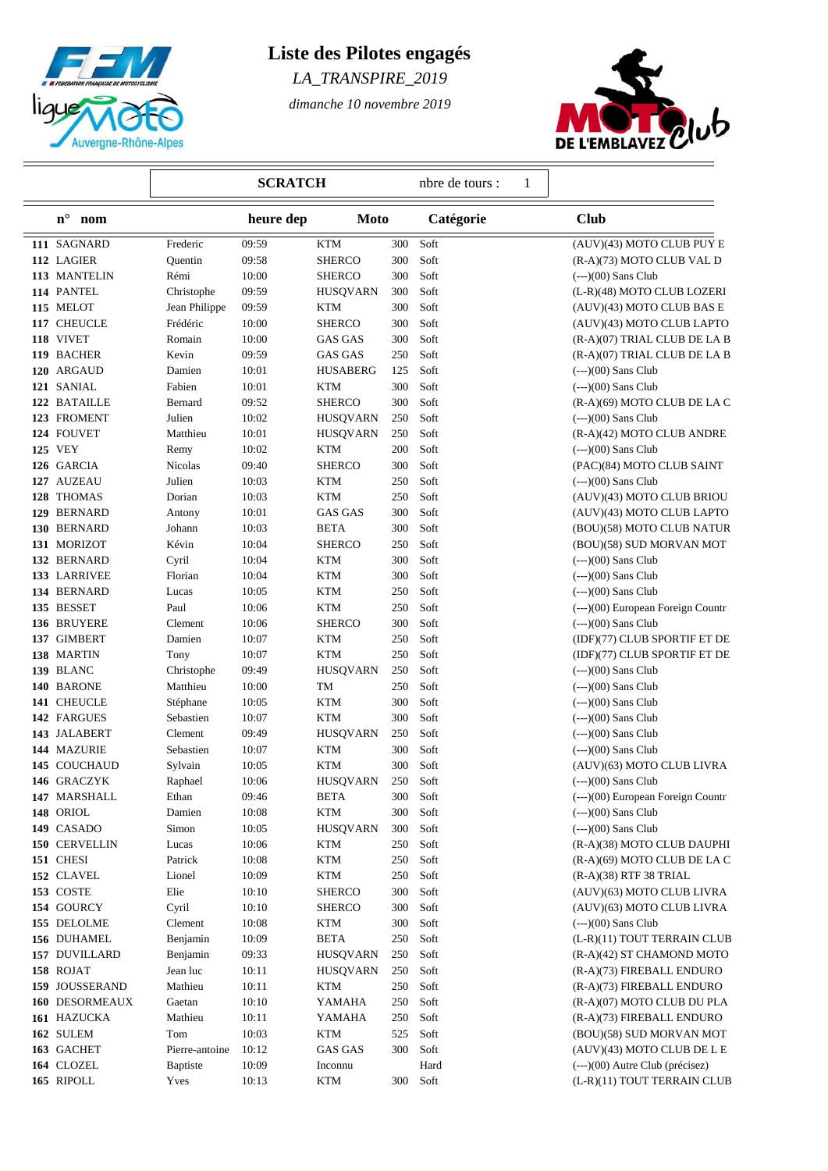

## **Liste des Pilotes engagés**

*LA\_TRANSPIRE\_2019*

*dimanche 10 novembre 2019*



|                           | <b>SCRATCH</b>   |       |                      |     | nbre de tours :<br>1 |                                   |
|---------------------------|------------------|-------|----------------------|-----|----------------------|-----------------------------------|
| $\mathbf{n}^\circ$<br>nom | heure dep        |       | <b>Moto</b>          |     | Catégorie            | <b>Club</b>                       |
| 111 SAGNARD               | Frederic         | 09:59 | <b>KTM</b>           | 300 | Soft                 | (AUV)(43) MOTO CLUB PUY E         |
| 112 LAGIER                | Quentin          | 09:58 | <b>SHERCO</b>        | 300 | Soft                 | (R-A)(73) MOTO CLUB VAL D         |
| 113 MANTELIN              | Rémi             | 10:00 | <b>SHERCO</b>        | 300 | Soft                 | $(--)(00)$ Sans Club              |
| 114 PANTEL                | Christophe       | 09:59 | <b>HUSQVARN</b>      | 300 | Soft                 | (L-R)(48) MOTO CLUB LOZERI        |
| 115 MELOT                 | Jean Philippe    | 09:59 | <b>KTM</b>           | 300 | Soft                 | (AUV)(43) MOTO CLUB BAS E         |
| 117 CHEUCLE               | Frédéric         | 10:00 | <b>SHERCO</b>        | 300 | Soft                 | (AUV)(43) MOTO CLUB LAPTO         |
| 118 VIVET                 | Romain           | 10:00 | GAS GAS              | 300 | Soft                 | (R-A)(07) TRIAL CLUB DE LA B      |
| 119 BACHER                | Kevin            | 09:59 | <b>GAS GAS</b>       | 250 | Soft                 | (R-A)(07) TRIAL CLUB DE LA B      |
| 120 ARGAUD                | Damien           | 10:01 | <b>HUSABERG</b>      | 125 | Soft                 | $(--)(00)$ Sans Club              |
| 121 SANIAL                | Fabien           | 10:01 | <b>KTM</b>           | 300 | Soft                 | $(--)(00)$ Sans Club              |
| 122 BATAILLE              | Bernard          | 09:52 | <b>SHERCO</b>        | 300 | Soft                 | $(R-A)(69)$ MOTO CLUB DE LA C     |
| 123 FROMENT               | Julien           | 10:02 | <b>HUSQVARN</b>      | 250 | Soft                 | $(--)(00)$ Sans Club              |
| 124 FOUVET                | Matthieu         | 10:01 | <b>HUSQVARN</b>      | 250 | Soft                 | (R-A)(42) MOTO CLUB ANDRE         |
| 125 VEY                   | Remy             | 10:02 | <b>KTM</b>           | 200 | Soft                 | $(--)(00)$ Sans Club              |
| 126 GARCIA                | Nicolas          | 09:40 | SHERCO               | 300 | Soft                 | (PAC)(84) MOTO CLUB SAINT         |
| 127 AUZEAU                | Julien           | 10:03 | KTM                  | 250 | Soft                 | $(--)(00)$ Sans Club              |
| 128 THOMAS                | Dorian           | 10:03 | <b>KTM</b>           | 250 | Soft                 | (AUV)(43) MOTO CLUB BRIOU         |
| 129 BERNARD               | Antony           | 10:01 | <b>GAS GAS</b>       | 300 | Soft                 | (AUV)(43) MOTO CLUB LAPTO         |
| 130 BERNARD               | Johann           | 10:03 | <b>BETA</b>          | 300 | Soft                 | (BOU)(58) MOTO CLUB NATUR         |
| 131 MORIZOT               | Kévin            | 10:04 | <b>SHERCO</b>        | 250 | Soft                 | (BOU)(58) SUD MORVAN MOT          |
| 132 BERNARD               | Cyril            | 10:04 | <b>KTM</b>           | 300 | Soft                 | $(--)(00)$ Sans Club              |
| 133 LARRIVEE              | Florian          | 10:04 | <b>KTM</b>           | 300 | Soft                 | $(--)(00)$ Sans Club              |
| 134 BERNARD               | Lucas            | 10:05 | <b>KTM</b>           | 250 | Soft                 | $(--)(00)$ Sans Club              |
| 135 BESSET                | Paul             | 10:06 | <b>KTM</b>           | 250 | Soft                 | (---)(00) European Foreign Countr |
| 136 BRUYERE               | Clement          | 10:06 | <b>SHERCO</b>        | 300 | Soft                 | $(--)(00)$ Sans Club              |
| 137 GIMBERT               | Damien           | 10:07 | <b>KTM</b>           | 250 | Soft                 | (IDF)(77) CLUB SPORTIF ET DE      |
| 138 MARTIN                | Tony             | 10:07 | <b>KTM</b>           | 250 | Soft                 | (IDF)(77) CLUB SPORTIF ET DE      |
| 139 BLANC                 | Christophe       | 09:49 | <b>HUSQVARN</b>      | 250 | Soft                 | $(--)(00)$ Sans Club              |
| 140 BARONE                | Matthieu         | 10:00 | TM                   | 250 | Soft                 | $(--)(00)$ Sans Club              |
| 141 CHEUCLE               | Stéphane         | 10:05 | KTM                  | 300 | Soft                 | $(--)(00)$ Sans Club              |
| 142 FARGUES               | Sebastien        | 10:07 | <b>KTM</b>           | 300 | Soft                 | $(--)(00)$ Sans Club              |
| 143 JALABERT              | Clement          | 09:49 | <b>HUSQVARN</b>      | 250 | Soft                 | $(--)(00)$ Sans Club              |
| 144 MAZURIE               | Sebastien        | 10:07 | <b>KTM</b>           | 300 | Soft                 | $(--)(00)$ Sans Club              |
| 145 COUCHAUD              | Sylvain          | 10:05 | KTM                  | 300 | Soft                 | (AUV)(63) MOTO CLUB LIVRA         |
| 146 GRACZYK               | Raphael          | 10:06 | <b>HUSQVARN</b>      | 250 | Soft                 | $(--)(00)$ Sans Club              |
| 147 MARSHALL              | Ethan            | 09:46 | <b>BETA</b>          | 300 | Soft                 | (---)(00) European Foreign Countr |
| 148 ORIOL                 | Damien           | 10:08 | $\operatorname{KTM}$ | 300 | Soft                 | $(-)-(00)$ Sans Club              |
| 149 CASADO                | Simon            | 10:05 | <b>HUSQVARN</b>      | 300 | Soft                 | $(--)(00)$ Sans Club              |
| 150 CERVELLIN             | Lucas            | 10:06 | KTM                  | 250 | Soft                 | (R-A)(38) MOTO CLUB DAUPHI        |
| 151 CHESI                 | Patrick          | 10:08 | <b>KTM</b>           | 250 | Soft                 | (R-A)(69) MOTO CLUB DE LA C       |
| 152 CLAVEL                | Lionel           | 10:09 | <b>KTM</b>           | 250 | Soft                 | (R-A)(38) RTF 38 TRIAL            |
| 153 COSTE                 | Elie             | 10:10 | SHERCO               | 300 | Soft                 | (AUV)(63) MOTO CLUB LIVRA         |
| 154 GOURCY                | Cyril            | 10:10 | SHERCO               | 300 | Soft                 | (AUV)(63) MOTO CLUB LIVRA         |
| 155 DELOLME               | Clement          | 10:08 | KTM                  | 300 | Soft                 | $(--)(00)$ Sans Club              |
| 156 DUHAMEL               | Benjamin         | 10:09 | <b>BETA</b>          | 250 | Soft                 | (L-R)(11) TOUT TERRAIN CLUB       |
| 157 DUVILLARD             | Benjamin         | 09:33 | <b>HUSQVARN</b>      | 250 | Soft                 | (R-A)(42) ST CHAMOND MOTO         |
| 158 ROJAT                 | Jean luc         | 10:11 | <b>HUSQVARN</b>      | 250 | Soft                 | (R-A)(73) FIREBALL ENDURO         |
| 159 JOUSSERAND            | Mathieu          | 10:11 | KTM                  | 250 | Soft                 | (R-A)(73) FIREBALL ENDURO         |
| 160 DESORMEAUX            | Gaetan           | 10:10 | YAMAHA               | 250 | Soft                 | (R-A)(07) MOTO CLUB DU PLA        |
| 161 HAZUCKA               | Mathieu          | 10:11 | YAMAHA               | 250 | Soft                 | (R-A)(73) FIREBALL ENDURO         |
| 162 SULEM                 | Tom              | 10:03 | <b>KTM</b>           | 525 | Soft                 | (BOU)(58) SUD MORVAN MOT          |
| 163 GACHET                | Pierre-antoine   | 10:12 | GAS GAS              | 300 | Soft                 | (AUV)(43) MOTO CLUB DE L E        |
| 164 CLOZEL                | <b>B</b> aptiste | 10:09 | Inconnu              |     | Hard                 | $(-)-(00)$ Autre Club (précisez)  |
| 165 RIPOLL                | Yves             | 10:13 | <b>KTM</b>           | 300 | Soft                 | (L-R)(11) TOUT TERRAIN CLUB       |
|                           |                  |       |                      |     |                      |                                   |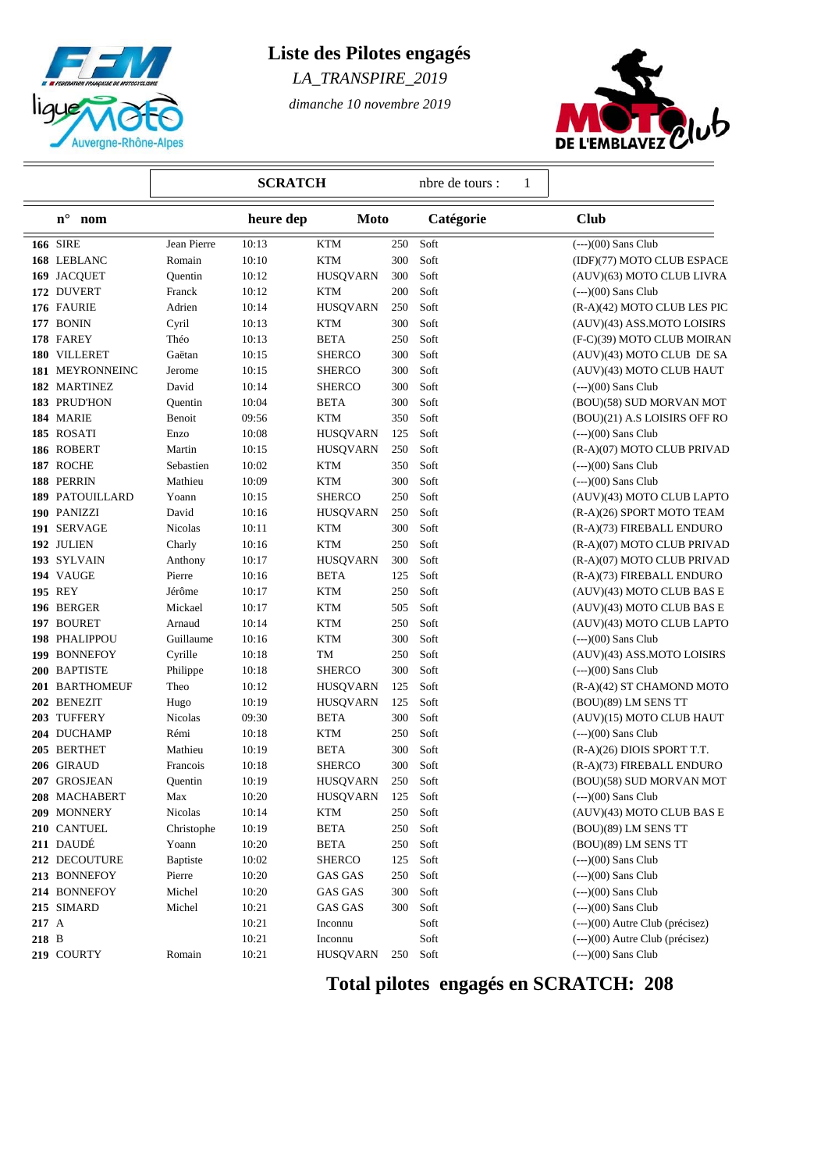

## **Liste des Pilotes engagés**

*LA\_TRANSPIRE\_2019*

*dimanche 10 novembre 2019*



|           |                           | <b>SCRATCH</b> |           |                 | 1<br>nbre de tours : |           |  |                                  |
|-----------|---------------------------|----------------|-----------|-----------------|----------------------|-----------|--|----------------------------------|
|           | $\mathbf{n}^\circ$<br>nom |                | heure dep | <b>Moto</b>     |                      | Catégorie |  | <b>Club</b>                      |
|           | <b>166 SIRE</b>           | Jean Pierre    | 10:13     | <b>KTM</b>      | 250                  | Soft      |  | $(-)(00)$ Sans Club              |
|           | 168 LEBLANC               | Romain         | 10:10     | <b>KTM</b>      | 300                  | Soft      |  | (IDF)(77) MOTO CLUB ESPACE       |
|           | 169 JACQUET               | Quentin        | 10:12     | <b>HUSQVARN</b> | 300                  | Soft      |  | (AUV)(63) MOTO CLUB LIVRA        |
|           | 172 DUVERT                | Franck         | 10:12     | KTM             | 200                  | Soft      |  | $(--)(00)$ Sans Club             |
|           | 176 FAURIE                | Adrien         | 10:14     | <b>HUSQVARN</b> | 250                  | Soft      |  | (R-A)(42) MOTO CLUB LES PIC      |
|           | 177 BONIN                 | Cyril          | 10:13     | KTM             | 300                  | Soft      |  | (AUV)(43) ASS.MOTO LOISIRS       |
|           | 178 FAREY                 | Théo           | 10:13     | <b>BETA</b>     | 250                  | Soft      |  | (F-C)(39) MOTO CLUB MOIRAN       |
|           | 180 VILLERET              | Gaëtan         | 10:15     | <b>SHERCO</b>   | 300                  | Soft      |  | (AUV)(43) MOTO CLUB DE SA        |
|           | 181 MEYRONNEINC           | Jerome         | 10:15     | <b>SHERCO</b>   | 300                  | Soft      |  | (AUV)(43) MOTO CLUB HAUT         |
|           | 182 MARTINEZ              | David          | 10:14     | <b>SHERCO</b>   | 300                  | Soft      |  | $(--)(00)$ Sans Club             |
|           | 183 PRUD'HON              | Quentin        | 10:04     | <b>BETA</b>     | 300                  | Soft      |  | (BOU)(58) SUD MORVAN MOT         |
|           | 184 MARIE                 | Benoit         | 09:56     | <b>KTM</b>      | 350                  | Soft      |  | (BOU)(21) A.S LOISIRS OFF RO     |
|           | 185 ROSATI                | Enzo           | 10:08     | <b>HUSQVARN</b> | 125                  | Soft      |  | $(--)(00)$ Sans Club             |
|           | 186 ROBERT                | Martin         | 10:15     | <b>HUSQVARN</b> | 250                  | Soft      |  | (R-A)(07) MOTO CLUB PRIVAD       |
|           | 187 ROCHE                 | Sebastien      | 10:02     | <b>KTM</b>      | 350                  | Soft      |  | $(--)(00)$ Sans Club             |
|           | 188 PERRIN                | Mathieu        | 10:09     | <b>KTM</b>      | 300                  | Soft      |  | $(--)(00)$ Sans Club             |
|           | 189 PATOUILLARD           | Yoann          | 10:15     | <b>SHERCO</b>   | 250                  | Soft      |  | (AUV)(43) MOTO CLUB LAPTO        |
|           | 190 PANIZZI               | David          | 10:16     | <b>HUSQVARN</b> | 250                  | Soft      |  | (R-A)(26) SPORT MOTO TEAM        |
|           | 191 SERVAGE               | Nicolas        | 10:11     | <b>KTM</b>      | 300                  | Soft      |  | (R-A)(73) FIREBALL ENDURO        |
|           | 192 JULIEN                | Charly         | 10:16     | <b>KTM</b>      | $250\,$              | Soft      |  | (R-A)(07) MOTO CLUB PRIVAD       |
|           | 193 SYLVAIN               | Anthony        | 10:17     | <b>HUSQVARN</b> | 300                  | Soft      |  | (R-A)(07) MOTO CLUB PRIVAD       |
|           | 194 VAUGE                 | Pierre         | 10:16     | <b>BETA</b>     | 125                  | Soft      |  | (R-A)(73) FIREBALL ENDURO        |
|           | <b>195 REY</b>            | Jérôme         | 10:17     | <b>KTM</b>      | 250                  | Soft      |  | (AUV)(43) MOTO CLUB BAS E        |
|           | 196 BERGER                | Mickael        | 10:17     | <b>KTM</b>      | 505                  | Soft      |  | (AUV)(43) MOTO CLUB BAS E        |
|           | 197 BOURET                | Arnaud         | 10:14     | <b>KTM</b>      | 250                  | Soft      |  | (AUV)(43) MOTO CLUB LAPTO        |
|           | 198 PHALIPPOU             | Guillaume      | 10:16     | <b>KTM</b>      | 300                  | Soft      |  | $(--)(00)$ Sans Club             |
|           | 199 BONNEFOY              | Cyrille        | 10:18     | TM              | 250                  | Soft      |  | (AUV)(43) ASS.MOTO LOISIRS       |
|           |                           |                |           |                 |                      |           |  |                                  |
|           | 200 BAPTISTE              | Philippe       | 10:18     | <b>SHERCO</b>   | 300                  | Soft      |  | $(--)(00)$ Sans Club             |
|           | 201 BARTHOMEUF            | Theo           | 10:12     | <b>HUSQVARN</b> | 125                  | Soft      |  | (R-A)(42) ST CHAMOND MOTO        |
|           | 202 BENEZIT               | Hugo           | 10:19     | <b>HUSQVARN</b> | 125                  | Soft      |  | (BOU)(89) LM SENS TT             |
|           | 203 TUFFERY               | Nicolas        | 09:30     | <b>BETA</b>     | 300                  | Soft      |  | (AUV)(15) MOTO CLUB HAUT         |
|           | 204 DUCHAMP               | Rémi           | 10:18     | <b>KTM</b>      | 250                  | Soft      |  | $(--)(00)$ Sans Club             |
|           | 205 BERTHET               | Mathieu        | 10:19     | <b>BETA</b>     | 300                  | Soft      |  | (R-A)(26) DIOIS SPORT T.T.       |
|           | 206 GIRAUD                | Francois       | 10:18     | <b>SHERCO</b>   | 300                  | Soft      |  | (R-A)(73) FIREBALL ENDURO        |
|           | 207 GROSJEAN              | Quentin        | 10:19     | <b>HUSQVARN</b> | 250                  | Soft      |  | (BOU)(58) SUD MORVAN MOT         |
|           | 208 MACHABERT             | Max            | 10:20     | <b>HUSQVARN</b> | 125                  | Soft      |  | $(--)(00)$ Sans Club             |
|           | 209 MONNERY               | Nicolas        | 10:14     | <b>KTM</b>      | 250                  | Soft      |  | (AUV)(43) MOTO CLUB BAS E        |
|           | 210 CANTUEL               | Christophe     | 10:19     | <b>BETA</b>     | 250                  | Soft      |  | (BOU)(89) LM SENS TT             |
|           | 211 DAUDÉ                 | Yoann          | 10:20     | <b>BETA</b>     | 250                  | Soft      |  | (BOU)(89) LM SENS TT             |
|           | 212 DECOUTURE             | Baptiste       | 10:02     | <b>SHERCO</b>   | 125                  | Soft      |  | $(--)(00)$ Sans Club             |
|           | 213 BONNEFOY              | Pierre         | 10:20     | <b>GAS GAS</b>  | 250                  | Soft      |  | $(--)(00)$ Sans Club             |
|           | 214 BONNEFOY              | Michel         | 10:20     | <b>GAS GAS</b>  | 300                  | Soft      |  | $(--)(00)$ Sans Club             |
|           | 215 SIMARD                | Michel         | 10:21     | <b>GAS GAS</b>  | 300                  | Soft      |  | $(-)(00)$ Sans Club              |
| $217\;$ A |                           |                | 10:21     | Inconnu         |                      | Soft      |  | $(-)-(00)$ Autre Club (précisez) |
| 218 B     |                           |                | 10:21     | Inconnu         |                      | Soft      |  | $(-)-(00)$ Autre Club (précisez) |
|           | 219 COURTY                | Romain         | 10:21     | <b>HUSQVARN</b> | 250                  | Soft      |  | $(--)(00)$ Sans Club             |

 **Total pilotes engagés en SCRATCH: 208**